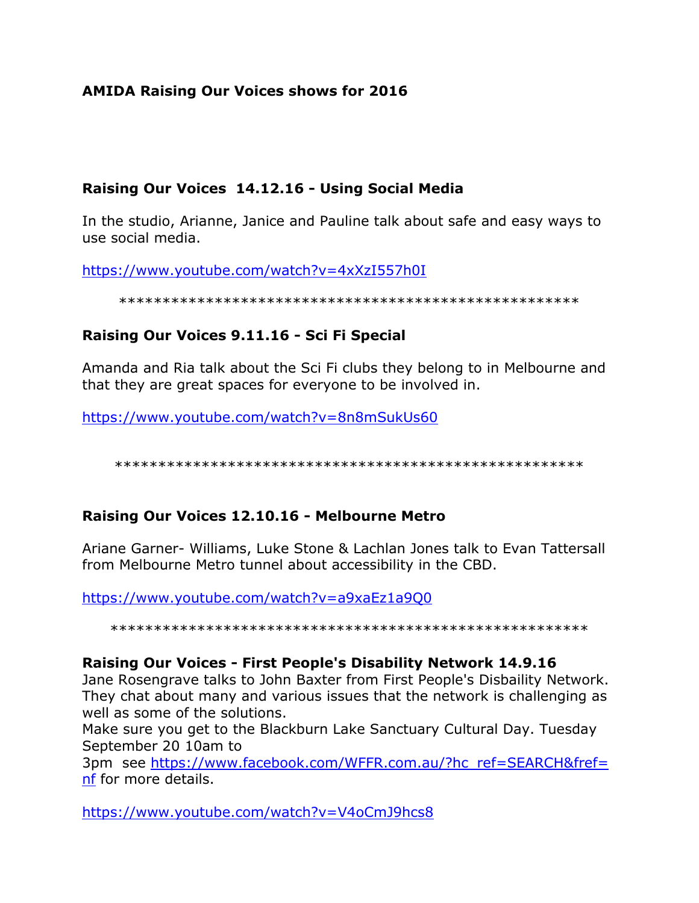# **AMIDA Raising Our Voices shows for 2016**

## **Raising Our Voices 14.12.16 - Using Social Media**

In the studio, Arianne, Janice and Pauline talk about safe and easy ways to use social media.

<https://www.youtube.com/watch?v=4xXzI557h0I>

#### \*\*\*\*\*\*\*\*\*\*\*\*\*\*\*\*\*\*\*\*\*\*\*\*\*\*\*\*\*\*\*\*\*\*\*\*\*\*\*\*\*\*\*\*\*\*\*\*\*\*\*\*\*

## **Raising Our Voices 9.11.16 - Sci Fi Special**

Amanda and Ria talk about the Sci Fi clubs they belong to in Melbourne and that they are great spaces for everyone to be involved in.

<https://www.youtube.com/watch?v=8n8mSukUs60>

\*\*\*\*\*\*\*\*\*\*\*\*\*\*\*\*\*\*\*\*\*\*\*\*\*\*\*\*\*\*\*\*\*\*\*\*\*\*\*\*\*\*\*\*\*\*\*\*\*\*\*\*\*\*

# **Raising Our Voices 12.10.16 - Melbourne Metro**

Ariane Garner- Williams, Luke Stone & Lachlan Jones talk to Evan Tattersall from Melbourne Metro tunnel about accessibility in the CBD.

<https://www.youtube.com/watch?v=a9xaEz1a9Q0>

\*\*\*\*\*\*\*\*\*\*\*\*\*\*\*\*\*\*\*\*\*\*\*\*\*\*\*\*\*\*\*\*\*\*\*\*\*\*\*\*\*\*\*\*\*\*\*\*\*\*\*\*\*\*\*

### **Raising Our Voices - First People's Disability Network 14.9.16**

Jane Rosengrave talks to John Baxter from First People's Disbaility Network. They chat about many and various issues that the network is challenging as well as some of the solutions.

Make sure you get to the Blackburn Lake Sanctuary Cultural Day. Tuesday September 20 10am to

3pm see [https://www.facebook.com/WFFR.com.au/?hc\\_ref=SEARCH&fref=](https://www.facebook.com/WFFR.com.au/?hc_ref=SEARCH&fref=nf) [nf](https://www.facebook.com/WFFR.com.au/?hc_ref=SEARCH&fref=nf) for more details.

<https://www.youtube.com/watch?v=V4oCmJ9hcs8>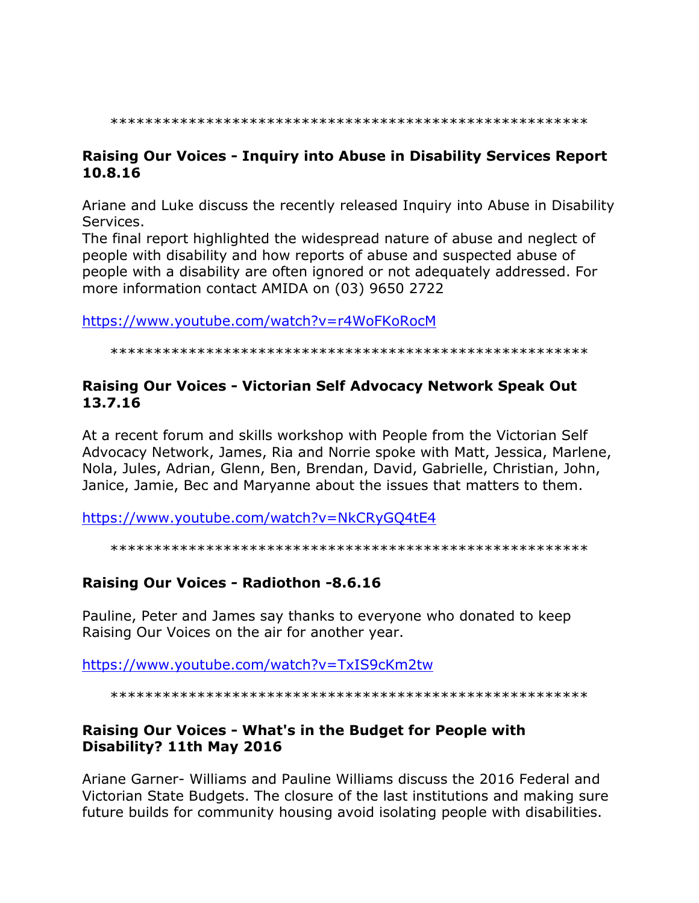## Raising Our Voices - Inquiry into Abuse in Disability Services Report 10.8.16

Ariane and Luke discuss the recently released Inquiry into Abuse in Disability Services.

The final report highlighted the widespread nature of abuse and neglect of people with disability and how reports of abuse and suspected abuse of people with a disability are often ignored or not adequately addressed. For more information contact AMIDA on (03) 9650 2722

https://www.youtube.com/watch?v=r4WoFKoRocM

### Raising Our Voices - Victorian Self Advocacy Network Speak Out 13.7.16

At a recent forum and skills workshop with People from the Victorian Self Advocacy Network, James, Ria and Norrie spoke with Matt, Jessica, Marlene, Nola, Jules, Adrian, Glenn, Ben, Brendan, David, Gabrielle, Christian, John, Janice, Jamie, Bec and Maryanne about the issues that matters to them.

https://www.youtube.com/watch?v=NkCRyGQ4tE4

### Raising Our Voices - Radiothon -8.6.16

Pauline, Peter and James say thanks to everyone who donated to keep Raising Our Voices on the air for another year.

https://www.youtube.com/watch?v=TxIS9cKm2tw

## Raising Our Voices - What's in the Budget for People with Disability? 11th May 2016

Ariane Garner- Williams and Pauline Williams discuss the 2016 Federal and Victorian State Budgets. The closure of the last institutions and making sure future builds for community housing avoid isolating people with disabilities.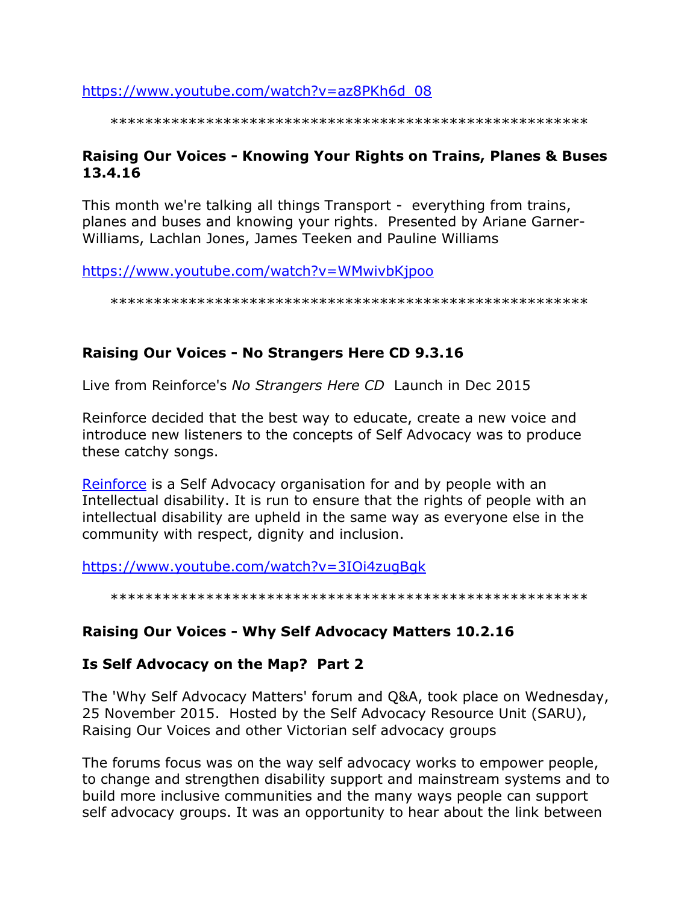https://www.youtube.com/watch?v=az8PKh6d 08

# Raising Our Voices - Knowing Your Rights on Trains, Planes & Buses 13.4.16

This month we're talking all things Transport - everything from trains, planes and buses and knowing your rights. Presented by Ariane Garner-Williams, Lachlan Jones, James Teeken and Pauline Williams

https://www.youtube.com/watch?v=WMwivbKjpoo

# Raising Our Voices - No Strangers Here CD 9.3.16

Live from Reinforce's No Strangers Here CD Launch in Dec 2015

Reinforce decided that the best way to educate, create a new voice and introduce new listeners to the concepts of Self Advocacy was to produce these catchy songs.

Reinforce is a Self Advocacy organisation for and by people with an Intellectual disability. It is run to ensure that the rights of people with an intellectual disability are upheld in the same way as everyone else in the community with respect, dignity and inclusion.

https://www.youtube.com/watch?v=3IOi4zugBgk

# Raising Our Voices - Why Self Advocacy Matters 10.2.16

# Is Self Advocacy on the Map? Part 2

The 'Why Self Advocacy Matters' forum and Q&A, took place on Wednesday, 25 November 2015. Hosted by the Self Advocacy Resource Unit (SARU), Raising Our Voices and other Victorian self advocacy groups

The forums focus was on the way self advocacy works to empower people, to change and strengthen disability support and mainstream systems and to build more inclusive communities and the many ways people can support self advocacy groups. It was an opportunity to hear about the link between